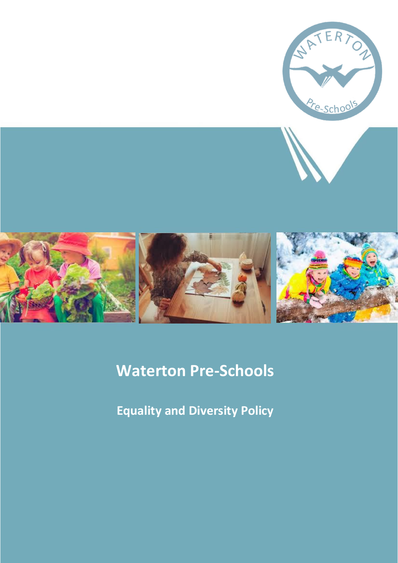





# **Waterton Pre-Schools**

**Equality and Diversity Policy**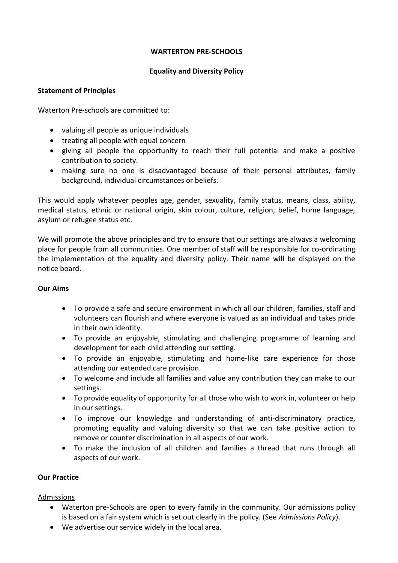## **WARTERTON PRE-SCHOOLS**

## **Equality and Diversity Policy**

#### **Statement of Principles**

Waterton Pre-schools are committed to:

- valuing all people as unique individuals
- treating all people with equal concern
- giving all people the opportunity to reach their full potential and make a positive contribution to society.
- making sure no one is disadvantaged because of their personal attributes, family background, individual circumstances or beliefs.

This would apply whatever peoples age, gender, sexuality, family status, means, class, ability, medical status, ethnic or national origin, skin colour, culture, religion, belief, home language, asylum or refugee status etc.

We will promote the above principles and try to ensure that our settings are always a welcoming place for people from all communities. One member of staff will be responsible for co-ordinating the implementation of the equality and diversity policy. Their name will be displayed on the notice board.

# **Our Aims**

- To provide a safe and secure environment in which all our children, families, staff and volunteers can flourish and where everyone is valued as an individual and takes pride in their own identity.
- To provide an enjoyable, stimulating and challenging programme of learning and development for each child attending our setting.
- To provide an enjoyable, stimulating and home-like care experience for those attending our extended care provision.
- To welcome and include all families and value any contribution they can make to our settings.
- To provide equality of opportunity for all those who wish to work in, volunteer or help in our settings.
- To improve our knowledge and understanding of anti-discriminatory practice, promoting equality and valuing diversity so that we can take positive action to remove or counter discrimination in all aspects of our work.
- To make the inclusion of all children and families a thread that runs through all aspects of our work.

# **Our Practice**

# Admissions

- Waterton pre-Schools are open to every family in the community. Our admissions policy is based on a fair system which is set out clearly in the policy. (See *Admissions Policy*).
- We advertise our service widely in the local area.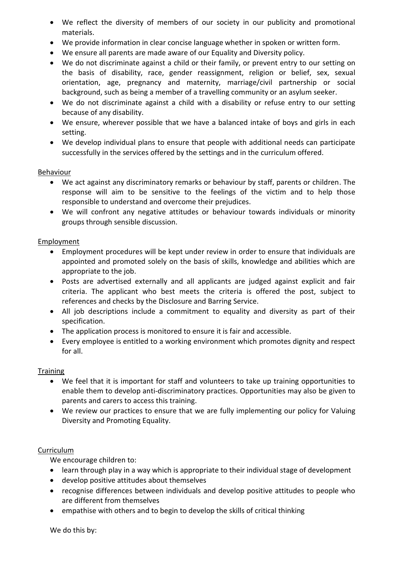- We reflect the diversity of members of our society in our publicity and promotional materials.
- We provide information in clear concise language whether in spoken or written form.
- We ensure all parents are made aware of our Equality and Diversity policy.
- We do not discriminate against a child or their family, or prevent entry to our setting on the basis of disability, race, gender reassignment, religion or belief, sex, sexual orientation, age, pregnancy and maternity, marriage/civil partnership or social background, such as being a member of a travelling community or an asylum seeker.
- We do not discriminate against a child with a disability or refuse entry to our setting because of any disability.
- We ensure, wherever possible that we have a balanced intake of boys and girls in each setting.
- We develop individual plans to ensure that people with additional needs can participate successfully in the services offered by the settings and in the curriculum offered.

#### Behaviour

- We act against any discriminatory remarks or behaviour by staff, parents or children. The response will aim to be sensitive to the feelings of the victim and to help those responsible to understand and overcome their prejudices.
- We will confront any negative attitudes or behaviour towards individuals or minority groups through sensible discussion.

#### Employment

- Employment procedures will be kept under review in order to ensure that individuals are appointed and promoted solely on the basis of skills, knowledge and abilities which are appropriate to the job.
- Posts are advertised externally and all applicants are judged against explicit and fair criteria. The applicant who best meets the criteria is offered the post, subject to references and checks by the Disclosure and Barring Service.
- All job descriptions include a commitment to equality and diversity as part of their specification.
- The application process is monitored to ensure it is fair and accessible.
- Every employee is entitled to a working environment which promotes dignity and respect for all.

#### **Training**

- We feel that it is important for staff and volunteers to take up training opportunities to enable them to develop anti-discriminatory practices. Opportunities may also be given to parents and carers to access this training.
- We review our practices to ensure that we are fully implementing our policy for Valuing Diversity and Promoting Equality.

#### Curriculum

We encourage children to:

- learn through play in a way which is appropriate to their individual stage of development
- develop positive attitudes about themselves
- recognise differences between individuals and develop positive attitudes to people who are different from themselves
- empathise with others and to begin to develop the skills of critical thinking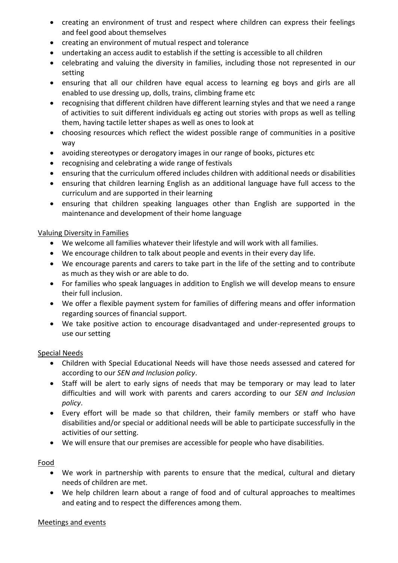- creating an environment of trust and respect where children can express their feelings and feel good about themselves
- creating an environment of mutual respect and tolerance
- undertaking an access audit to establish if the setting is accessible to all children
- celebrating and valuing the diversity in families, including those not represented in our setting
- ensuring that all our children have equal access to learning eg boys and girls are all enabled to use dressing up, dolls, trains, climbing frame etc
- recognising that different children have different learning styles and that we need a range of activities to suit different individuals eg acting out stories with props as well as telling them, having tactile letter shapes as well as ones to look at
- choosing resources which reflect the widest possible range of communities in a positive way
- avoiding stereotypes or derogatory images in our range of books, pictures etc
- recognising and celebrating a wide range of festivals
- ensuring that the curriculum offered includes children with additional needs or disabilities
- ensuring that children learning English as an additional language have full access to the curriculum and are supported in their learning
- ensuring that children speaking languages other than English are supported in the maintenance and development of their home language

## Valuing Diversity in Families

- We welcome all families whatever their lifestyle and will work with all families.
- We encourage children to talk about people and events in their every day life.
- We encourage parents and carers to take part in the life of the setting and to contribute as much as they wish or are able to do.
- For families who speak languages in addition to English we will develop means to ensure their full inclusion.
- We offer a flexible payment system for families of differing means and offer information regarding sources of financial support.
- We take positive action to encourage disadvantaged and under-represented groups to use our setting

#### Special Needs

- Children with Special Educational Needs will have those needs assessed and catered for according to our *SEN and Inclusion policy*.
- Staff will be alert to early signs of needs that may be temporary or may lead to later difficulties and will work with parents and carers according to our *SEN and Inclusion policy*.
- Every effort will be made so that children, their family members or staff who have disabilities and/or special or additional needs will be able to participate successfully in the activities of our setting.
- We will ensure that our premises are accessible for people who have disabilities.

#### Food

- We work in partnership with parents to ensure that the medical, cultural and dietary needs of children are met.
- We help children learn about a range of food and of cultural approaches to mealtimes and eating and to respect the differences among them.

#### Meetings and events